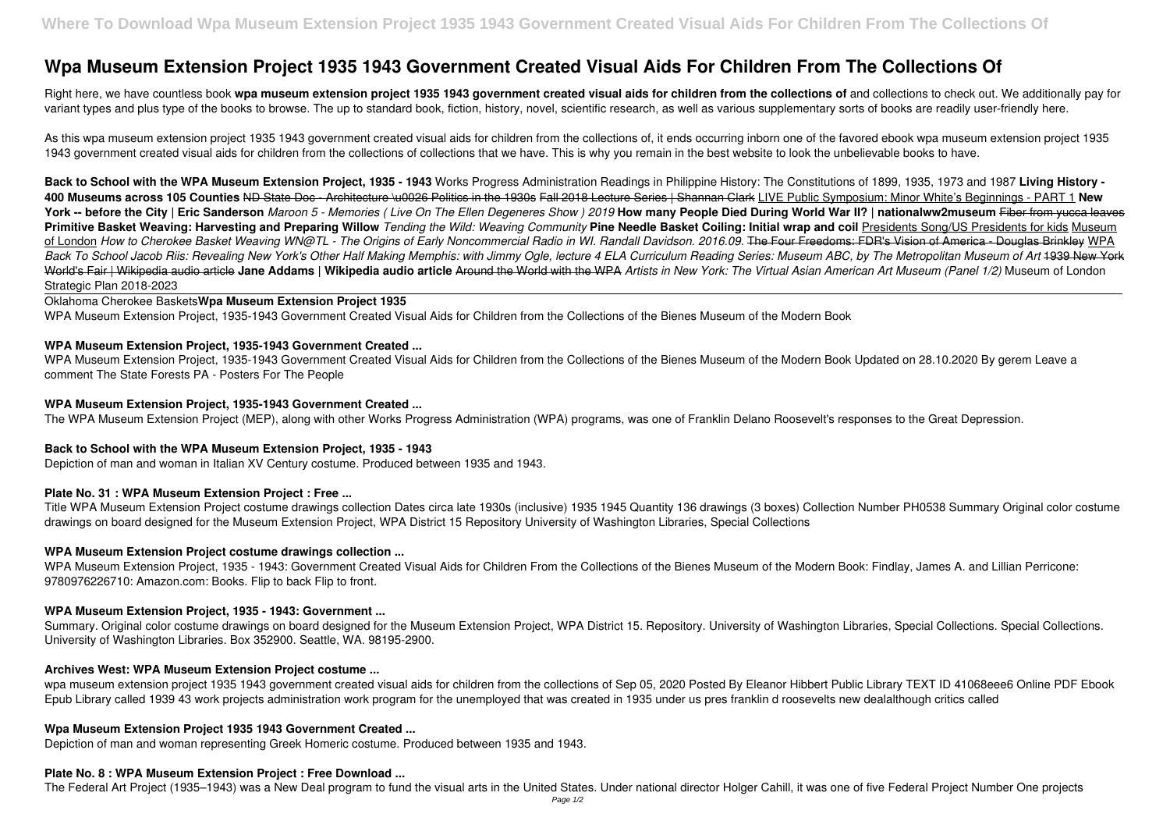Right here, we have countless book **wpa museum extension project 1935 1943 government created visual aids for children from the collections of** and collections to check out. We additionally pay for variant types and plus type of the books to browse. The up to standard book, fiction, history, novel, scientific research, as well as various supplementary sorts of books are readily user-friendly here.

# **Wpa Museum Extension Project 1935 1943 Government Created Visual Aids For Children From The Collections Of**

As this wpa museum extension project 1935 1943 government created visual aids for children from the collections of, it ends occurring inborn one of the favored ebook wpa museum extension project 1935 1943 government created visual aids for children from the collections of collections that we have. This is why you remain in the best website to look the unbelievable books to have.

**Back to School with the WPA Museum Extension Project, 1935 - 1943** Works Progress Administration Readings in Philippine History: The Constitutions of 1899, 1935, 1973 and 1987 **Living History - 400 Museums across 105 Counties** ND State Doc - Architecture \u0026 Politics in the 1930s Fall 2018 Lecture Series | Shannan Clark LIVE Public Symposium: Minor White's Beginnings - PART 1 **New York -- before the City | Eric Sanderson** *Maroon 5 - Memories ( Live On The Ellen Degeneres Show ) 2019* **How many People Died During World War II? | nationalww2museum** Fiber from yucca leaves Primitive Basket Weaving: Harvesting and Preparing Willow *Tending the Wild: Weaving Community* Pine Needle Basket Coiling: Initial wrap and coil Presidents Song/US Presidents for kids Museum of London *How to Cherokee Basket Weaving WN@TL - The Origins of Early Noncommercial Radio in WI. Randall Davidson. 2016.09.* The Four Freedoms: FDR's Vision of America - Douglas Brinkley WPA *Back To School Jacob Riis: Revealing New York's Other Half Making Memphis: with Jimmy Ogle, lecture 4 ELA Curriculum Reading Series: Museum ABC, by The Metropolitan Museum of Art* 1939 New York World's Fair | Wikipedia audio article **Jane Addams | Wikipedia audio article** Around the World with the WPA *Artists in New York: The Virtual Asian American Art Museum (Panel 1/2)* Museum of London Strategic Plan 2018-2023

Summary. Original color costume drawings on board designed for the Museum Extension Project, WPA District 15. Repository. University of Washington Libraries, Special Collections. Special Collections. University of Washington Libraries. Box 352900. Seattle, WA. 98195-2900.

wpa museum extension project 1935 1943 government created visual aids for children from the collections of Sep 05, 2020 Posted By Eleanor Hibbert Public Library TEXT ID 41068eee6 Online PDF Ebook Epub Library called 1939 43 work projects administration work program for the unemployed that was created in 1935 under us pres franklin d roosevelts new dealalthough critics called

Oklahoma Cherokee Baskets**Wpa Museum Extension Project 1935**

WPA Museum Extension Project, 1935-1943 Government Created Visual Aids for Children from the Collections of the Bienes Museum of the Modern Book

### **WPA Museum Extension Project, 1935-1943 Government Created ...**

WPA Museum Extension Project, 1935-1943 Government Created Visual Aids for Children from the Collections of the Bienes Museum of the Modern Book Updated on 28.10.2020 By gerem Leave a comment The State Forests PA - Posters For The People

### **WPA Museum Extension Project, 1935-1943 Government Created ...**

The WPA Museum Extension Project (MEP), along with other Works Progress Administration (WPA) programs, was one of Franklin Delano Roosevelt's responses to the Great Depression.

### **Back to School with the WPA Museum Extension Project, 1935 - 1943**

Depiction of man and woman in Italian XV Century costume. Produced between 1935 and 1943.

### **Plate No. 31 : WPA Museum Extension Project : Free ...**

Title WPA Museum Extension Project costume drawings collection Dates circa late 1930s (inclusive) 1935 1945 Quantity 136 drawings (3 boxes) Collection Number PH0538 Summary Original color costume drawings on board designed for the Museum Extension Project, WPA District 15 Repository University of Washington Libraries, Special Collections

### **WPA Museum Extension Project costume drawings collection ...**

WPA Museum Extension Project, 1935 - 1943: Government Created Visual Aids for Children From the Collections of the Bienes Museum of the Modern Book: Findlay, James A. and Lillian Perricone: 9780976226710: Amazon.com: Books. Flip to back Flip to front.

## **WPA Museum Extension Project, 1935 - 1943: Government ...**

### **Archives West: WPA Museum Extension Project costume ...**

### **Wpa Museum Extension Project 1935 1943 Government Created ...**

Depiction of man and woman representing Greek Homeric costume. Produced between 1935 and 1943.

### **Plate No. 8 : WPA Museum Extension Project : Free Download ...**

The Federal Art Project (1935–1943) was a New Deal program to fund the visual arts in the United States. Under national director Holger Cahill, it was one of five Federal Project Number One projects